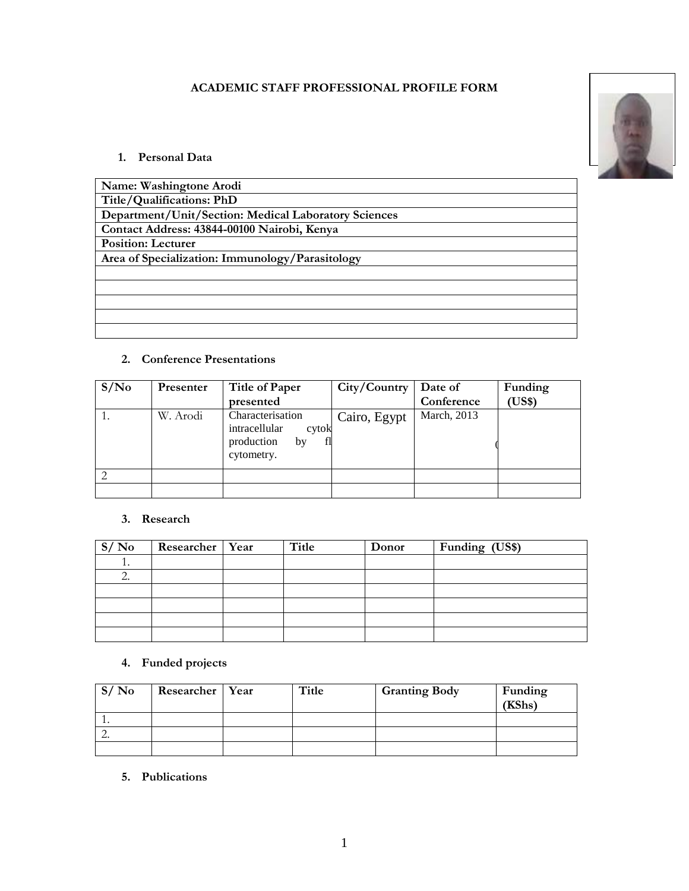#### **ACADEMIC STAFF PROFESSIONAL PROFILE FORM**



#### **1. Personal Data**

| Name: Washingtone Arodi                              |
|------------------------------------------------------|
| Title/Qualifications: PhD                            |
| Department/Unit/Section: Medical Laboratory Sciences |
| Contact Address: 43844-00100 Nairobi, Kenya          |
| <b>Position: Lecturer</b>                            |
| Area of Specialization: Immunology/Parasitology      |
|                                                      |
|                                                      |
|                                                      |
|                                                      |
|                                                      |

#### **2. Conference Presentations**

| S/N <sub>0</sub> | Presenter | Title of Paper                                                                     | City/Country | Date of     | Funding      |
|------------------|-----------|------------------------------------------------------------------------------------|--------------|-------------|--------------|
|                  |           | presented                                                                          |              | Conference  | <b>US\$)</b> |
| 1.               | W. Arodi  | Characterisation<br>intracellular<br>cytok<br>production<br>fl<br>by<br>cytometry. | Cairo, Egypt | March, 2013 |              |
|                  |           |                                                                                    |              |             |              |
|                  |           |                                                                                    |              |             |              |

#### **3. Research**

| S/No    | Researcher   Year | Title | Donor | Funding (US\$) |
|---------|-------------------|-------|-------|----------------|
| $\cdot$ |                   |       |       |                |
| ◠<br>۷. |                   |       |       |                |
|         |                   |       |       |                |
|         |                   |       |       |                |
|         |                   |       |       |                |
|         |                   |       |       |                |

# **4. Funded projects**

| S/N <sub>0</sub> | Researcher   Year | Title | <b>Granting Body</b> | Funding<br>(KShs) |
|------------------|-------------------|-------|----------------------|-------------------|
|                  |                   |       |                      |                   |
| <u>.</u>         |                   |       |                      |                   |
|                  |                   |       |                      |                   |

**5. Publications**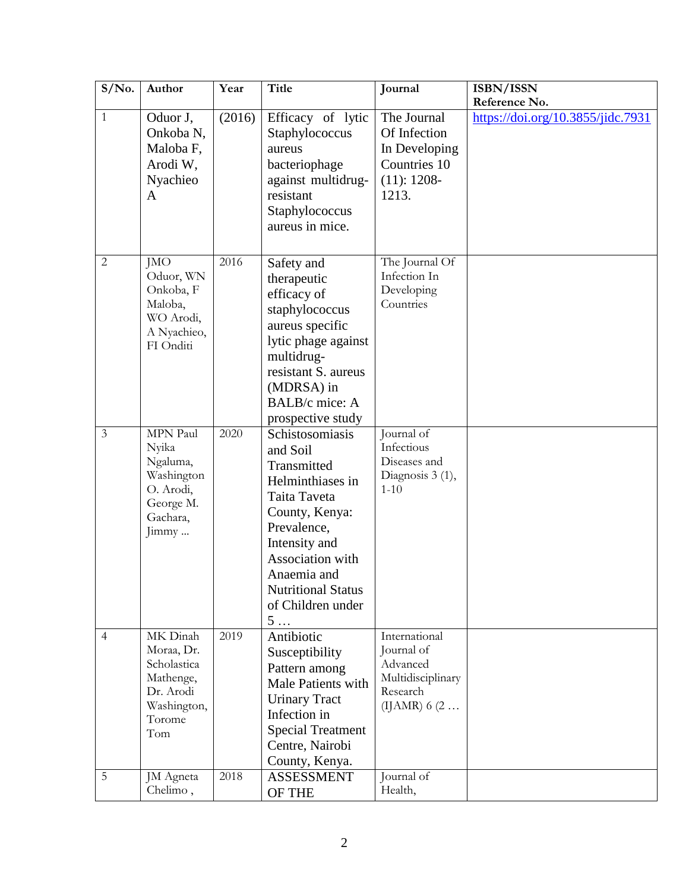| $S/N0$ .       | Author                                                                                          | Year   | <b>Title</b>                                                                                                                                                                                                                        | Journal                                                                                           | ISBN/ISSN                         |
|----------------|-------------------------------------------------------------------------------------------------|--------|-------------------------------------------------------------------------------------------------------------------------------------------------------------------------------------------------------------------------------------|---------------------------------------------------------------------------------------------------|-----------------------------------|
|                |                                                                                                 |        |                                                                                                                                                                                                                                     |                                                                                                   | Reference No.                     |
| 1              | Oduor J,<br>Onkoba <sub>N</sub> ,<br>Maloba F,<br>Arodi W,<br>Nyachieo<br>$\mathbf{A}$          | (2016) | Efficacy of lytic<br>Staphylococcus<br>aureus<br>bacteriophage<br>against multidrug-<br>resistant<br>Staphylococcus<br>aureus in mice.                                                                                              | The Journal<br>Of Infection<br>In Developing<br>Countries 10<br>$(11): 1208-$<br>1213.            | https://doi.org/10.3855/jidc.7931 |
| $\overline{2}$ | <b>JMO</b><br>Oduor, WN<br>Onkoba, F<br>Maloba,<br>WO Arodi,<br>A Nyachieo,<br>FI Onditi        | 2016   | Safety and<br>therapeutic<br>efficacy of<br>staphylococcus<br>aureus specific<br>lytic phage against<br>multidrug-<br>resistant S. aureus<br>(MDRSA) in<br>BALB/c mice: A<br>prospective study                                      | The Journal Of<br>Infection In<br>Developing<br>Countries                                         |                                   |
| $\overline{3}$ | MPN Paul<br>Nyika<br>Ngaluma,<br>Washington<br>O. Arodi,<br>George M.<br>Gachara,<br>Jimmy      | 2020   | Schistosomiasis<br>and Soil<br>Transmitted<br>Helminthiases in<br>Taita Taveta<br>County, Kenya:<br>Prevalence,<br>Intensity and<br>Association with<br>Anaemia and<br><b>Nutritional Status</b><br>of Children under<br>$5 \ldots$ | Journal of<br>Infectious<br>Diseases and<br>Diagnosis 3 (1),<br>$1 - 10$                          |                                   |
| $\overline{4}$ | MK Dinah<br>Moraa, Dr.<br>Scholastica<br>Mathenge,<br>Dr. Arodi<br>Washington,<br>Torome<br>Tom | 2019   | Antibiotic<br>Susceptibility<br>Pattern among<br>Male Patients with<br><b>Urinary Tract</b><br>Infection in<br><b>Special Treatment</b><br>Centre, Nairobi<br>County, Kenya.                                                        | International<br>Journal of<br>Advanced<br>Multidisciplinary<br>Research<br>(IJAMR) 6 $(2 \ldots$ |                                   |
| 5              | JM Agneta<br>Chelimo,                                                                           | 2018   | <b>ASSESSMENT</b><br>OF THE                                                                                                                                                                                                         | Journal of<br>Health,                                                                             |                                   |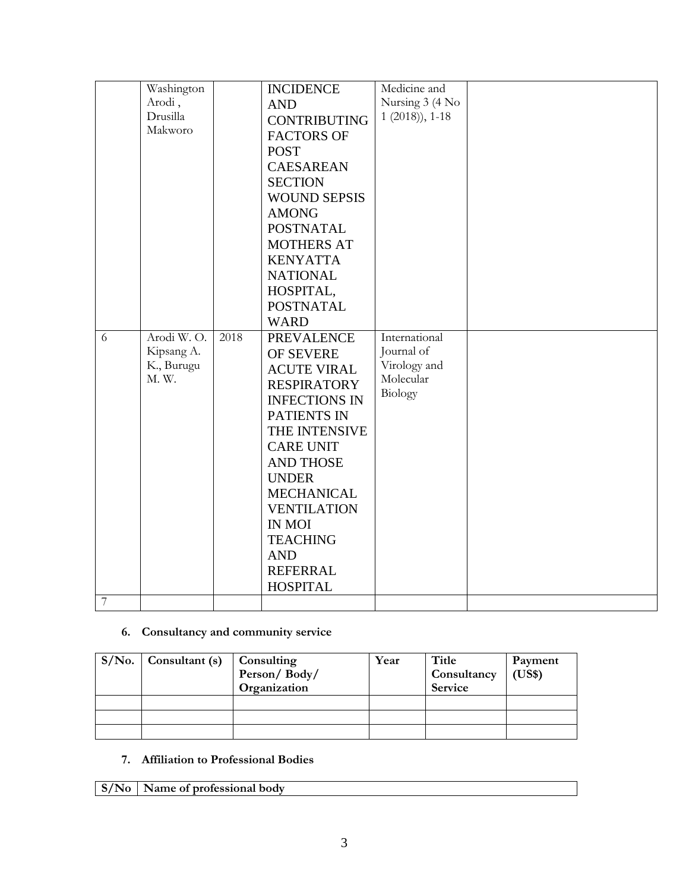|   | Washington |      | <b>INCIDENCE</b>     | Medicine and     |  |
|---|------------|------|----------------------|------------------|--|
|   | Arodi,     |      | <b>AND</b>           | Nursing 3 (4 No  |  |
|   | Drusilla   |      | <b>CONTRIBUTING</b>  | $1(2018)$ , 1-18 |  |
|   | Makworo    |      | <b>FACTORS OF</b>    |                  |  |
|   |            |      | <b>POST</b>          |                  |  |
|   |            |      | <b>CAESAREAN</b>     |                  |  |
|   |            |      | <b>SECTION</b>       |                  |  |
|   |            |      | <b>WOUND SEPSIS</b>  |                  |  |
|   |            |      | <b>AMONG</b>         |                  |  |
|   |            |      | <b>POSTNATAL</b>     |                  |  |
|   |            |      | <b>MOTHERS AT</b>    |                  |  |
|   |            |      | <b>KENYATTA</b>      |                  |  |
|   |            |      | <b>NATIONAL</b>      |                  |  |
|   |            |      | HOSPITAL,            |                  |  |
|   |            |      | <b>POSTNATAL</b>     |                  |  |
|   |            |      | <b>WARD</b>          |                  |  |
| 6 | Arodi W.O. | 2018 | <b>PREVALENCE</b>    | International    |  |
|   | Kipsang A. |      | OF SEVERE            | Journal of       |  |
|   | K., Burugu |      | <b>ACUTE VIRAL</b>   | Virology and     |  |
|   | M. W.      |      | <b>RESPIRATORY</b>   | Molecular        |  |
|   |            |      | <b>INFECTIONS IN</b> | Biology          |  |
|   |            |      | PATIENTS IN          |                  |  |
|   |            |      | THE INTENSIVE        |                  |  |
|   |            |      | <b>CARE UNIT</b>     |                  |  |
|   |            |      | <b>AND THOSE</b>     |                  |  |
|   |            |      | <b>UNDER</b>         |                  |  |
|   |            |      | <b>MECHANICAL</b>    |                  |  |
|   |            |      | <b>VENTILATION</b>   |                  |  |
|   |            |      | <b>IN MOI</b>        |                  |  |
|   |            |      | <b>TEACHING</b>      |                  |  |
|   |            |      | <b>AND</b>           |                  |  |
|   |            |      | <b>REFERRAL</b>      |                  |  |
|   |            |      | <b>HOSPITAL</b>      |                  |  |
| 7 |            |      |                      |                  |  |

# **6. Consultancy and community service**

| $S/No.$ Consultant (s) | Consulting<br>Person/Body/<br>Organization | Year | Title<br>Consultancy<br><b>Service</b> | Payment<br>(US\$) |
|------------------------|--------------------------------------------|------|----------------------------------------|-------------------|
|                        |                                            |      |                                        |                   |
|                        |                                            |      |                                        |                   |
|                        |                                            |      |                                        |                   |

# **7. Affiliation to Professional Bodies**

|  | $\vert$ S/No $\vert$ Name of professional body |  |
|--|------------------------------------------------|--|
|--|------------------------------------------------|--|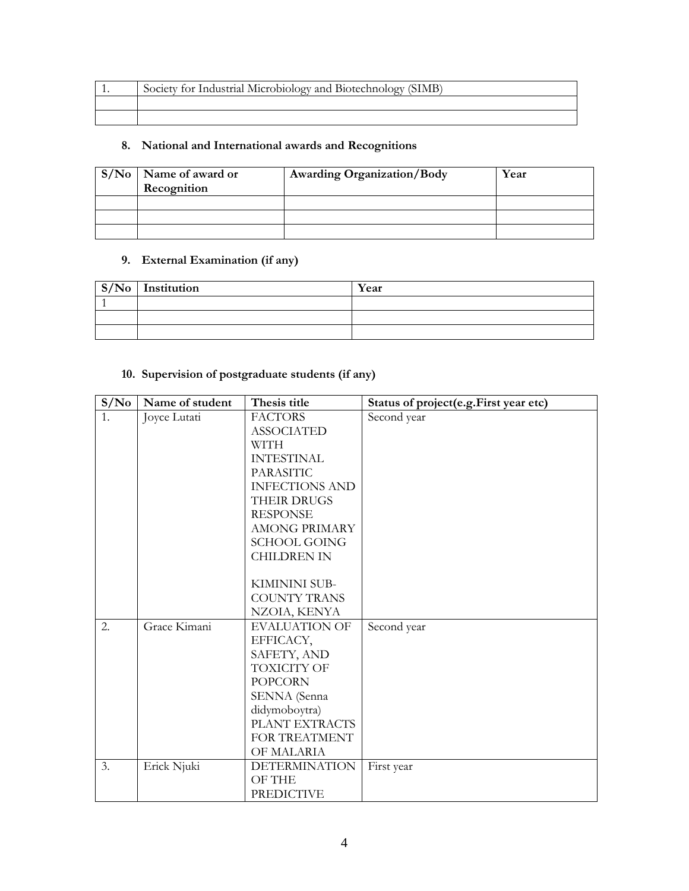| Society for Industrial Microbiology and Biotechnology (SIMB) |
|--------------------------------------------------------------|
|                                                              |
|                                                              |

# **8. National and International awards and Recognitions**

| $S/No$ Name of award or<br>Recognition | <b>Awarding Organization/Body</b> | Year |
|----------------------------------------|-----------------------------------|------|
|                                        |                                   |      |
|                                        |                                   |      |
|                                        |                                   |      |

#### **9. External Examination (if any)**

| $S/No$ Institution | Year |
|--------------------|------|
|                    |      |
|                    |      |
|                    |      |

# **10. Supervision of postgraduate students (if any)**

| S/No | Name of student | Thesis title          | Status of project(e.g.First year etc) |
|------|-----------------|-----------------------|---------------------------------------|
| 1.   | Joyce Lutati    | <b>FACTORS</b>        | Second year                           |
|      |                 | <b>ASSOCIATED</b>     |                                       |
|      |                 | <b>WITH</b>           |                                       |
|      |                 | <b>INTESTINAL</b>     |                                       |
|      |                 | <b>PARASITIC</b>      |                                       |
|      |                 | <b>INFECTIONS AND</b> |                                       |
|      |                 | <b>THEIR DRUGS</b>    |                                       |
|      |                 | <b>RESPONSE</b>       |                                       |
|      |                 | <b>AMONG PRIMARY</b>  |                                       |
|      |                 | <b>SCHOOL GOING</b>   |                                       |
|      |                 | <b>CHILDREN IN</b>    |                                       |
|      |                 |                       |                                       |
|      |                 | KIMININI SUB-         |                                       |
|      |                 | <b>COUNTY TRANS</b>   |                                       |
|      |                 | NZOIA, KENYA          |                                       |
| 2.   | Grace Kimani    | <b>EVALUATION OF</b>  | Second year                           |
|      |                 | EFFICACY,             |                                       |
|      |                 | SAFETY, AND           |                                       |
|      |                 | <b>TOXICITY OF</b>    |                                       |
|      |                 | <b>POPCORN</b>        |                                       |
|      |                 | SENNA (Senna          |                                       |
|      |                 | didymoboytra)         |                                       |
|      |                 | PLANT EXTRACTS        |                                       |
|      |                 | FOR TREATMENT         |                                       |
|      |                 | OF MALARIA            |                                       |
| 3.   | Erick Njuki     | <b>DETERMINATION</b>  | First year                            |
|      |                 | OF THE                |                                       |
|      |                 | <b>PREDICTIVE</b>     |                                       |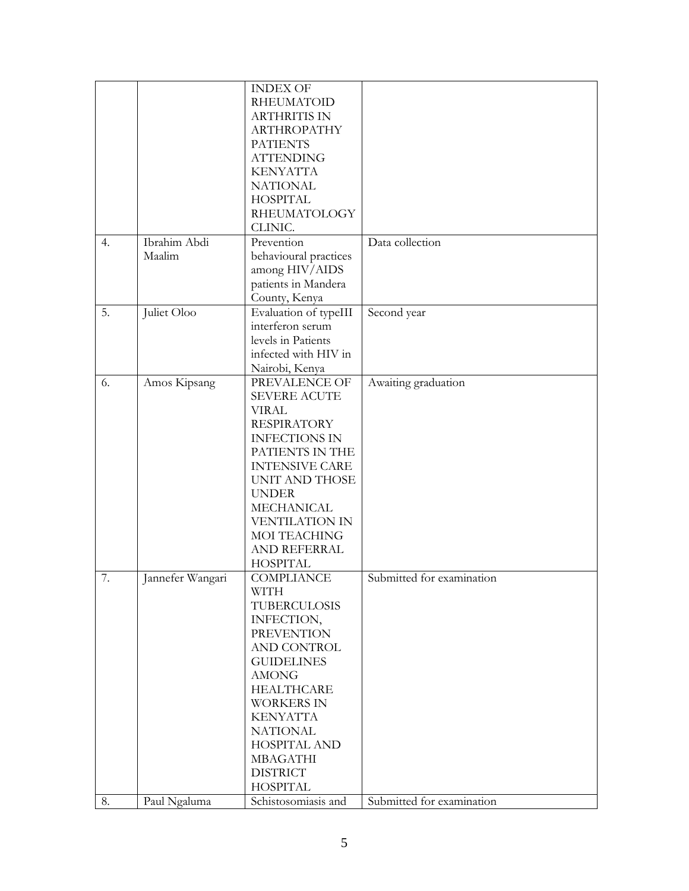|    |                  | <b>INDEX OF</b>       |                           |
|----|------------------|-----------------------|---------------------------|
|    |                  | <b>RHEUMATOID</b>     |                           |
|    |                  | <b>ARTHRITIS IN</b>   |                           |
|    |                  |                       |                           |
|    |                  | ARTHROPATHY           |                           |
|    |                  | <b>PATIENTS</b>       |                           |
|    |                  | <b>ATTENDING</b>      |                           |
|    |                  | <b>KENYATTA</b>       |                           |
|    |                  | <b>NATIONAL</b>       |                           |
|    |                  | <b>HOSPITAL</b>       |                           |
|    |                  | <b>RHEUMATOLOGY</b>   |                           |
|    |                  | CLINIC.               |                           |
| 4. | Ibrahim Abdi     | Prevention            | Data collection           |
|    | Maalim           | behavioural practices |                           |
|    |                  | among HIV/AIDS        |                           |
|    |                  | patients in Mandera   |                           |
|    |                  | County, Kenya         |                           |
| 5. | Juliet Oloo      | Evaluation of typeIII | Second year               |
|    |                  | interferon serum      |                           |
|    |                  | levels in Patients    |                           |
|    |                  | infected with HIV in  |                           |
|    |                  |                       |                           |
|    |                  | Nairobi, Kenya        |                           |
| 6. | Amos Kipsang     | PREVALENCE OF         | Awaiting graduation       |
|    |                  | <b>SEVERE ACUTE</b>   |                           |
|    |                  | <b>VIRAL</b>          |                           |
|    |                  | <b>RESPIRATORY</b>    |                           |
|    |                  | <b>INFECTIONS IN</b>  |                           |
|    |                  | PATIENTS IN THE       |                           |
|    |                  | <b>INTENSIVE CARE</b> |                           |
|    |                  | <b>UNIT AND THOSE</b> |                           |
|    |                  | <b>UNDER</b>          |                           |
|    |                  | <b>MECHANICAL</b>     |                           |
|    |                  | VENTILATION IN        |                           |
|    |                  | MOI TEACHING          |                           |
|    |                  | <b>AND REFERRAL</b>   |                           |
|    |                  | <b>HOSPITAL</b>       |                           |
| 7. | Jannefer Wangari | COMPLIANCE            | Submitted for examination |
|    |                  | WITH                  |                           |
|    |                  | <b>TUBERCULOSIS</b>   |                           |
|    |                  | INFECTION,            |                           |
|    |                  | <b>PREVENTION</b>     |                           |
|    |                  |                       |                           |
|    |                  | AND CONTROL           |                           |
|    |                  | <b>GUIDELINES</b>     |                           |
|    |                  | <b>AMONG</b>          |                           |
|    |                  | <b>HEALTHCARE</b>     |                           |
|    |                  | <b>WORKERS IN</b>     |                           |
|    |                  | <b>KENYATTA</b>       |                           |
|    |                  | <b>NATIONAL</b>       |                           |
|    |                  | <b>HOSPITAL AND</b>   |                           |
|    |                  | <b>MBAGATHI</b>       |                           |
|    |                  | <b>DISTRICT</b>       |                           |
|    |                  | <b>HOSPITAL</b>       |                           |
| 8. | Paul Ngaluma     | Schistosomiasis and   | Submitted for examination |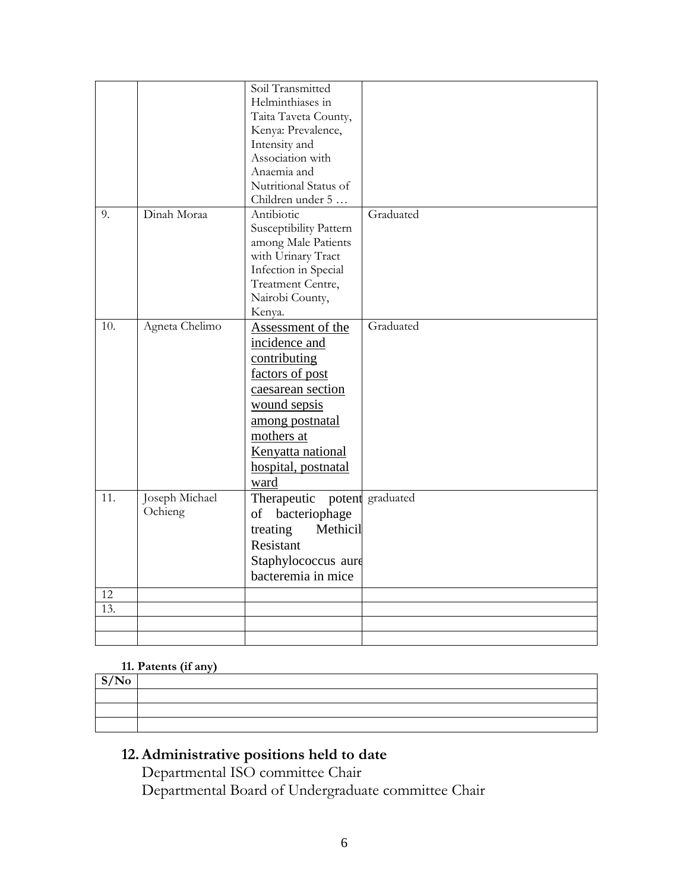|           |                | Soil Transmitted             |           |
|-----------|----------------|------------------------------|-----------|
|           |                | Helminthiases in             |           |
|           |                | Taita Taveta County,         |           |
|           |                | Kenya: Prevalence,           |           |
|           |                | Intensity and                |           |
|           |                | Association with             |           |
|           |                |                              |           |
|           |                | Anaemia and                  |           |
|           |                | Nutritional Status of        |           |
|           |                | Children under 5             |           |
| 9.        | Dinah Moraa    | Antibiotic                   | Graduated |
|           |                | Susceptibility Pattern       |           |
|           |                | among Male Patients          |           |
|           |                | with Urinary Tract           |           |
|           |                | Infection in Special         |           |
|           |                | Treatment Centre,            |           |
|           |                | Nairobi County,              |           |
|           |                | Kenya.                       |           |
| 10.       | Agneta Chelimo | Assessment of the            | Graduated |
|           |                | incidence and                |           |
|           |                | contributing                 |           |
|           |                | factors of post              |           |
|           |                | caesarean section            |           |
|           |                | wound sepsis                 |           |
|           |                | among postnatal              |           |
|           |                | mothers at                   |           |
|           |                |                              |           |
|           |                | Kenyatta national            |           |
|           |                | hospital, postnatal          |           |
|           |                | ward                         |           |
| 11.       | Joseph Michael | Therapeutic potent graduated |           |
|           | Ochieng        | bacteriophage<br>of          |           |
|           |                | Methicil<br>treating         |           |
|           |                | Resistant                    |           |
|           |                | Staphylococcus aure          |           |
|           |                | bacteremia in mice           |           |
|           |                |                              |           |
| 12<br>13. |                |                              |           |
|           |                |                              |           |
|           |                |                              |           |
|           |                |                              |           |

# **11. Patents (if any)**

| S/No |  |
|------|--|
|      |  |
|      |  |
|      |  |
|      |  |

# **12.Administrative positions held to date**

Departmental ISO committee Chair Departmental Board of Undergraduate committee Chair